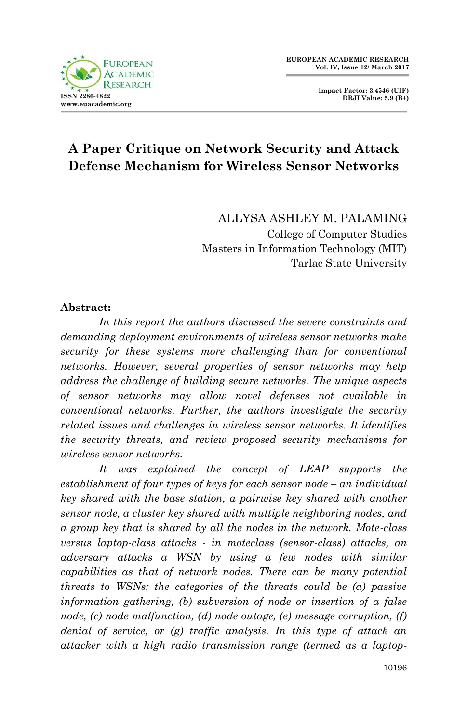**Impact Factor: 3.4546 (UIF) DRJI Value: 5.9 (B+)**

# **A Paper Critique on Network Security and Attack Defense Mechanism for Wireless Sensor Networks**

ALLYSA ASHLEY M. PALAMING College of Computer Studies Masters in Information Technology (MIT) Tarlac State University

#### **Abstract:**

*In this report the authors discussed the severe constraints and demanding deployment environments of wireless sensor networks make security for these systems more challenging than for conventional networks. However, several properties of sensor networks may help address the challenge of building secure networks. The unique aspects of sensor networks may allow novel defenses not available in conventional networks. Further, the authors investigate the security related issues and challenges in wireless sensor networks. It identifies the security threats, and review proposed security mechanisms for wireless sensor networks.*

*It was explained the concept of LEAP supports the establishment of four types of keys for each sensor node – an individual key shared with the base station, a pairwise key shared with another sensor node, a cluster key shared with multiple neighboring nodes, and a group key that is shared by all the nodes in the network. Mote-class versus laptop-class attacks - in moteclass (sensor-class) attacks, an adversary attacks a WSN by using a few nodes with similar capabilities as that of network nodes. There can be many potential threats to WSNs; the categories of the threats could be (a) passive information gathering, (b) subversion of node or insertion of a false node, (c) node malfunction, (d) node outage, (e) message corruption, (f) denial of service, or (g) traffic analysis. In this type of attack an attacker with a high radio transmission range (termed as a laptop-*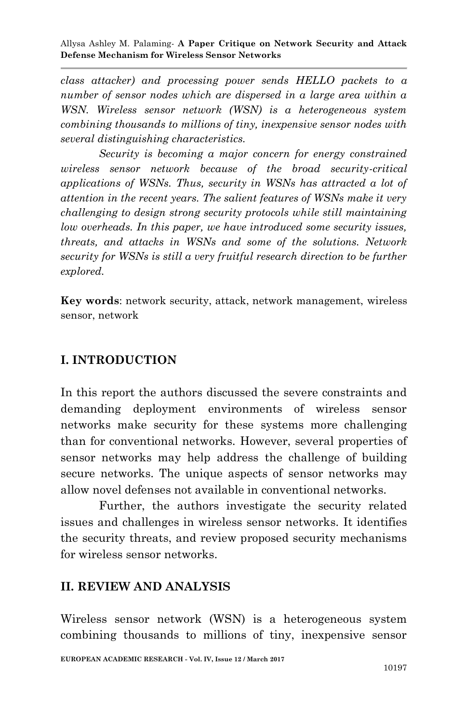Allysa Ashley M. Palaming*-* **A Paper Critique on Network Security and Attack Defense Mechanism for Wireless Sensor Networks**

*class attacker) and processing power sends HELLO packets to a number of sensor nodes which are dispersed in a large area within a WSN. Wireless sensor network (WSN) is a heterogeneous system combining thousands to millions of tiny, inexpensive sensor nodes with several distinguishing characteristics.*

*Security is becoming a major concern for energy constrained wireless sensor network because of the broad security-critical applications of WSNs. Thus, security in WSNs has attracted a lot of attention in the recent years. The salient features of WSNs make it very challenging to design strong security protocols while still maintaining low overheads. In this paper, we have introduced some security issues, threats, and attacks in WSNs and some of the solutions. Network security for WSNs is still a very fruitful research direction to be further explored.*

**Key words**: network security, attack, network management, wireless sensor, network

# **I. INTRODUCTION**

In this report the authors discussed the severe constraints and demanding deployment environments of wireless sensor networks make security for these systems more challenging than for conventional networks. However, several properties of sensor networks may help address the challenge of building secure networks. The unique aspects of sensor networks may allow novel defenses not available in conventional networks.

Further, the authors investigate the security related issues and challenges in wireless sensor networks. It identifies the security threats, and review proposed security mechanisms for wireless sensor networks.

### **II. REVIEW AND ANALYSIS**

Wireless sensor network (WSN) is a heterogeneous system combining thousands to millions of tiny, inexpensive sensor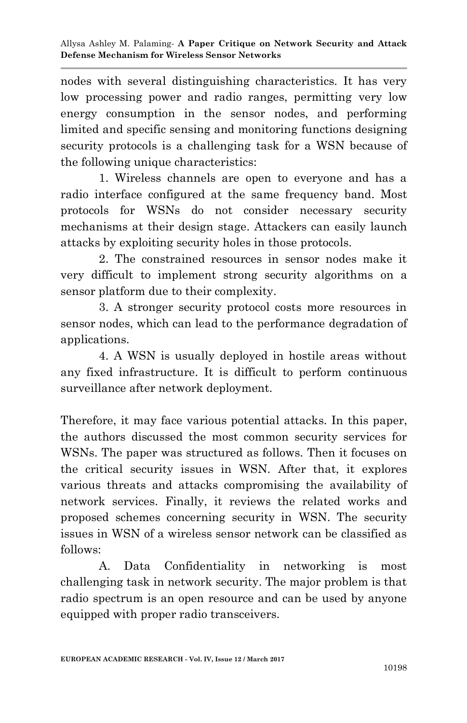nodes with several distinguishing characteristics. It has very low processing power and radio ranges, permitting very low energy consumption in the sensor nodes, and performing limited and specific sensing and monitoring functions designing security protocols is a challenging task for a WSN because of the following unique characteristics:

1. Wireless channels are open to everyone and has a radio interface configured at the same frequency band. Most protocols for WSNs do not consider necessary security mechanisms at their design stage. Attackers can easily launch attacks by exploiting security holes in those protocols.

2. The constrained resources in sensor nodes make it very difficult to implement strong security algorithms on a sensor platform due to their complexity.

3. A stronger security protocol costs more resources in sensor nodes, which can lead to the performance degradation of applications.

4. A WSN is usually deployed in hostile areas without any fixed infrastructure. It is difficult to perform continuous surveillance after network deployment.

Therefore, it may face various potential attacks. In this paper, the authors discussed the most common security services for WSNs. The paper was structured as follows. Then it focuses on the critical security issues in WSN. After that, it explores various threats and attacks compromising the availability of network services. Finally, it reviews the related works and proposed schemes concerning security in WSN. The security issues in WSN of a wireless sensor network can be classified as follows:

A. Data Confidentiality in networking is most challenging task in network security. The major problem is that radio spectrum is an open resource and can be used by anyone equipped with proper radio transceivers.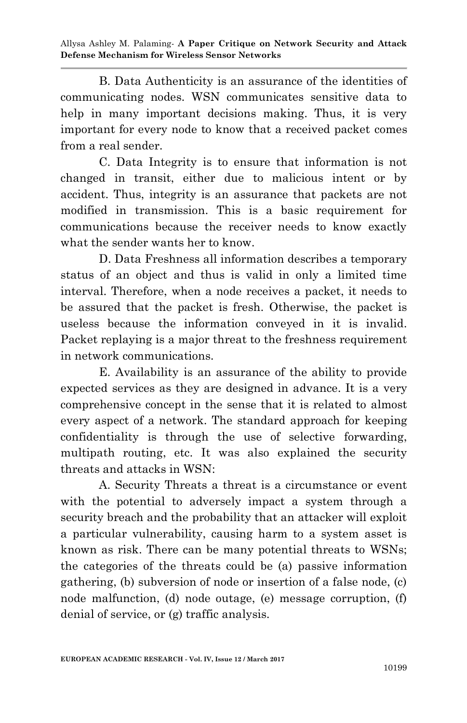Allysa Ashley M. Palaming*-* **A Paper Critique on Network Security and Attack Defense Mechanism for Wireless Sensor Networks**

B. Data Authenticity is an assurance of the identities of communicating nodes. WSN communicates sensitive data to help in many important decisions making. Thus, it is very important for every node to know that a received packet comes from a real sender.

C. Data Integrity is to ensure that information is not changed in transit, either due to malicious intent or by accident. Thus, integrity is an assurance that packets are not modified in transmission. This is a basic requirement for communications because the receiver needs to know exactly what the sender wants her to know.

D. Data Freshness all information describes a temporary status of an object and thus is valid in only a limited time interval. Therefore, when a node receives a packet, it needs to be assured that the packet is fresh. Otherwise, the packet is useless because the information conveyed in it is invalid. Packet replaying is a major threat to the freshness requirement in network communications.

E. Availability is an assurance of the ability to provide expected services as they are designed in advance. It is a very comprehensive concept in the sense that it is related to almost every aspect of a network. The standard approach for keeping confidentiality is through the use of selective forwarding, multipath routing, etc. It was also explained the security threats and attacks in WSN:

A. Security Threats a threat is a circumstance or event with the potential to adversely impact a system through a security breach and the probability that an attacker will exploit a particular vulnerability, causing harm to a system asset is known as risk. There can be many potential threats to WSNs; the categories of the threats could be (a) passive information gathering, (b) subversion of node or insertion of a false node, (c) node malfunction, (d) node outage, (e) message corruption, (f) denial of service, or (g) traffic analysis.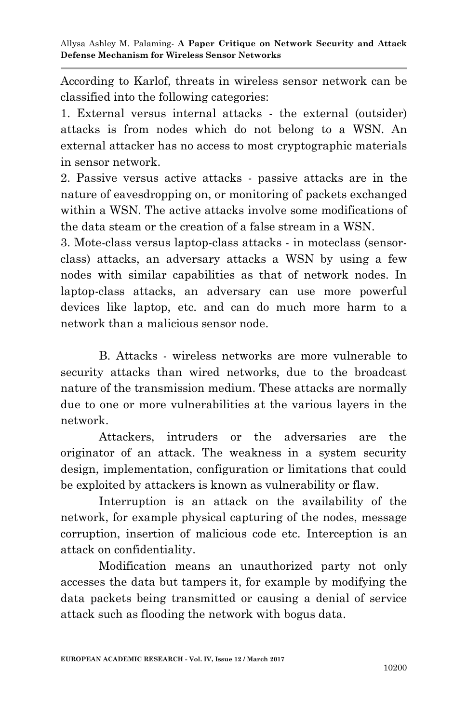According to Karlof, threats in wireless sensor network can be classified into the following categories:

1. External versus internal attacks - the external (outsider) attacks is from nodes which do not belong to a WSN. An external attacker has no access to most cryptographic materials in sensor network.

2. Passive versus active attacks - passive attacks are in the nature of eavesdropping on, or monitoring of packets exchanged within a WSN. The active attacks involve some modifications of the data steam or the creation of a false stream in a WSN.

3. Mote-class versus laptop-class attacks - in moteclass (sensorclass) attacks, an adversary attacks a WSN by using a few nodes with similar capabilities as that of network nodes. In laptop-class attacks, an adversary can use more powerful devices like laptop, etc. and can do much more harm to a network than a malicious sensor node.

B. Attacks - wireless networks are more vulnerable to security attacks than wired networks, due to the broadcast nature of the transmission medium. These attacks are normally due to one or more vulnerabilities at the various layers in the network.

Attackers, intruders or the adversaries are the originator of an attack. The weakness in a system security design, implementation, configuration or limitations that could be exploited by attackers is known as vulnerability or flaw.

Interruption is an attack on the availability of the network, for example physical capturing of the nodes, message corruption, insertion of malicious code etc. Interception is an attack on confidentiality.

Modification means an unauthorized party not only accesses the data but tampers it, for example by modifying the data packets being transmitted or causing a denial of service attack such as flooding the network with bogus data.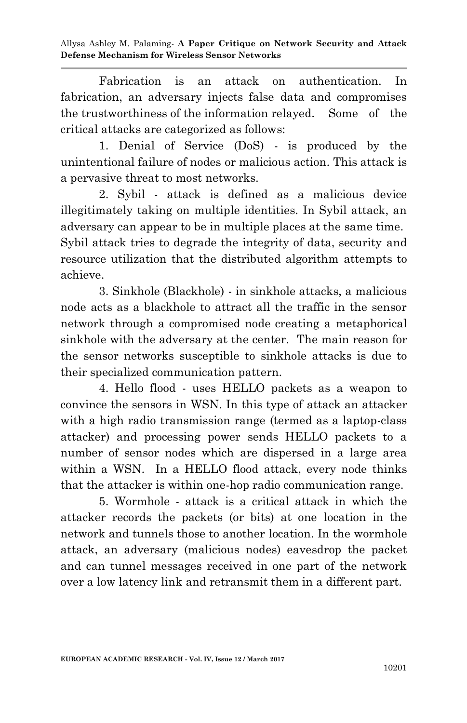Allysa Ashley M. Palaming*-* **A Paper Critique on Network Security and Attack Defense Mechanism for Wireless Sensor Networks**

Fabrication is an attack on authentication. In fabrication, an adversary injects false data and compromises the trustworthiness of the information relayed. Some of the critical attacks are categorized as follows:

1. Denial of Service (DoS) - is produced by the unintentional failure of nodes or malicious action. This attack is a pervasive threat to most networks.

2. Sybil - attack is defined as a malicious device illegitimately taking on multiple identities. In Sybil attack, an adversary can appear to be in multiple places at the same time. Sybil attack tries to degrade the integrity of data, security and resource utilization that the distributed algorithm attempts to achieve.

3. Sinkhole (Blackhole) - in sinkhole attacks, a malicious node acts as a blackhole to attract all the traffic in the sensor network through a compromised node creating a metaphorical sinkhole with the adversary at the center. The main reason for the sensor networks susceptible to sinkhole attacks is due to their specialized communication pattern.

4. Hello flood - uses HELLO packets as a weapon to convince the sensors in WSN. In this type of attack an attacker with a high radio transmission range (termed as a laptop-class attacker) and processing power sends HELLO packets to a number of sensor nodes which are dispersed in a large area within a WSN. In a HELLO flood attack, every node thinks that the attacker is within one-hop radio communication range.

5. Wormhole - attack is a critical attack in which the attacker records the packets (or bits) at one location in the network and tunnels those to another location. In the wormhole attack, an adversary (malicious nodes) eavesdrop the packet and can tunnel messages received in one part of the network over a low latency link and retransmit them in a different part.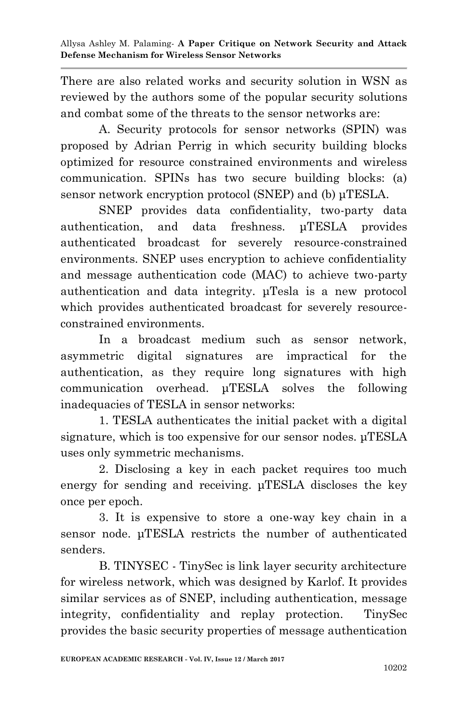There are also related works and security solution in WSN as reviewed by the authors some of the popular security solutions and combat some of the threats to the sensor networks are:

A. Security protocols for sensor networks (SPIN) was proposed by Adrian Perrig in which security building blocks optimized for resource constrained environments and wireless communication. SPINs has two secure building blocks: (a) sensor network encryption protocol (SNEP) and (b) μTESLA.

SNEP provides data confidentiality, two-party data authentication, and data freshness. μTESLA provides authenticated broadcast for severely resource-constrained environments. SNEP uses encryption to achieve confidentiality and message authentication code (MAC) to achieve two-party authentication and data integrity. μTesla is a new protocol which provides authenticated broadcast for severely resourceconstrained environments.

In a broadcast medium such as sensor network, asymmetric digital signatures are impractical for the authentication, as they require long signatures with high communication overhead. μTESLA solves the following inadequacies of TESLA in sensor networks:

1. TESLA authenticates the initial packet with a digital signature, which is too expensive for our sensor nodes. μTESLA uses only symmetric mechanisms.

2. Disclosing a key in each packet requires too much energy for sending and receiving. μTESLA discloses the key once per epoch.

3. It is expensive to store a one-way key chain in a sensor node. μTESLA restricts the number of authenticated senders.

B. TINYSEC - TinySec is link layer security architecture for wireless network, which was designed by Karlof. It provides similar services as of SNEP, including authentication, message integrity, confidentiality and replay protection. TinySec provides the basic security properties of message authentication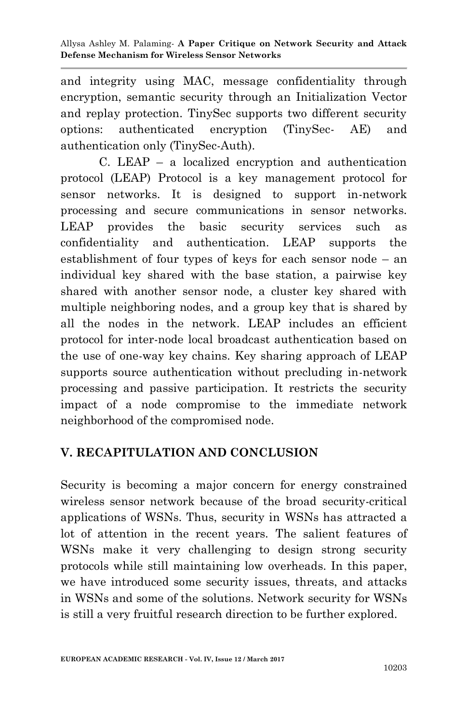and integrity using MAC, message confidentiality through encryption, semantic security through an Initialization Vector and replay protection. TinySec supports two different security options: authenticated encryption (TinySec- AE) and authentication only (TinySec-Auth).

C. LEAP – a localized encryption and authentication protocol (LEAP) Protocol is a key management protocol for sensor networks. It is designed to support in-network processing and secure communications in sensor networks. LEAP provides the basic security services such as confidentiality and authentication. LEAP supports the establishment of four types of keys for each sensor node – an individual key shared with the base station, a pairwise key shared with another sensor node, a cluster key shared with multiple neighboring nodes, and a group key that is shared by all the nodes in the network. LEAP includes an efficient protocol for inter-node local broadcast authentication based on the use of one-way key chains. Key sharing approach of LEAP supports source authentication without precluding in-network processing and passive participation. It restricts the security impact of a node compromise to the immediate network neighborhood of the compromised node.

# **V. RECAPITULATION AND CONCLUSION**

Security is becoming a major concern for energy constrained wireless sensor network because of the broad security-critical applications of WSNs. Thus, security in WSNs has attracted a lot of attention in the recent years. The salient features of WSNs make it very challenging to design strong security protocols while still maintaining low overheads. In this paper, we have introduced some security issues, threats, and attacks in WSNs and some of the solutions. Network security for WSNs is still a very fruitful research direction to be further explored.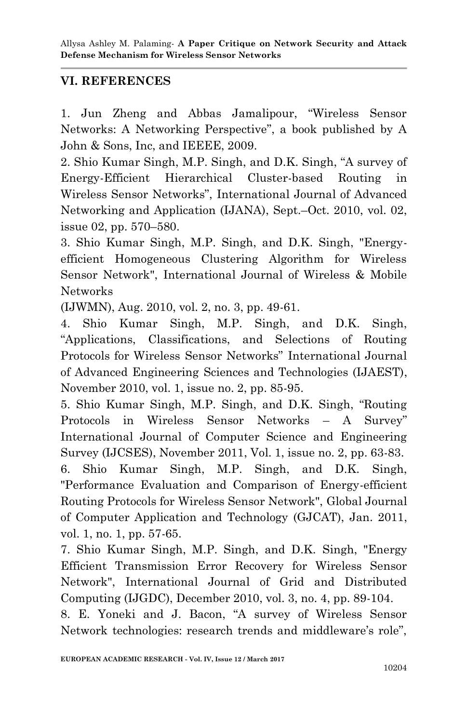## **VI. REFERENCES**

1. Jun Zheng and Abbas Jamalipour, "Wireless Sensor Networks: A Networking Perspective", a book published by A John & Sons, Inc, and IEEEE, 2009.

2. Shio Kumar Singh, M.P. Singh, and D.K. Singh, "A survey of Energy-Efficient Hierarchical Cluster-based Routing in Wireless Sensor Networks", International Journal of Advanced Networking and Application (IJANA), Sept.–Oct. 2010, vol. 02, issue 02, pp. 570–580.

3. Shio Kumar Singh, M.P. Singh, and D.K. Singh, "Energyefficient Homogeneous Clustering Algorithm for Wireless Sensor Network", International Journal of Wireless & Mobile Networks

(IJWMN), Aug. 2010, vol. 2, no. 3, pp. 49-61.

4. Shio Kumar Singh, M.P. Singh, and D.K. Singh, "Applications, Classifications, and Selections of Routing Protocols for Wireless Sensor Networks" International Journal of Advanced Engineering Sciences and Technologies (IJAEST), November 2010, vol. 1, issue no. 2, pp. 85-95.

5. Shio Kumar Singh, M.P. Singh, and D.K. Singh, "Routing Protocols in Wireless Sensor Networks – A Survey" International Journal of Computer Science and Engineering Survey (IJCSES), November 2011, Vol. 1, issue no. 2, pp. 63-83. 6. Shio Kumar Singh, M.P. Singh, and D.K. Singh, "Performance Evaluation and Comparison of Energy-efficient Routing Protocols for Wireless Sensor Network", Global Journal of Computer Application and Technology (GJCAT), Jan. 2011,

vol. 1, no. 1, pp. 57-65.

7. Shio Kumar Singh, M.P. Singh, and D.K. Singh, "Energy Efficient Transmission Error Recovery for Wireless Sensor Network", International Journal of Grid and Distributed Computing (IJGDC), December 2010, vol. 3, no. 4, pp. 89-104.

8. E. Yoneki and J. Bacon, "A survey of Wireless Sensor Network technologies: research trends and middleware's role",